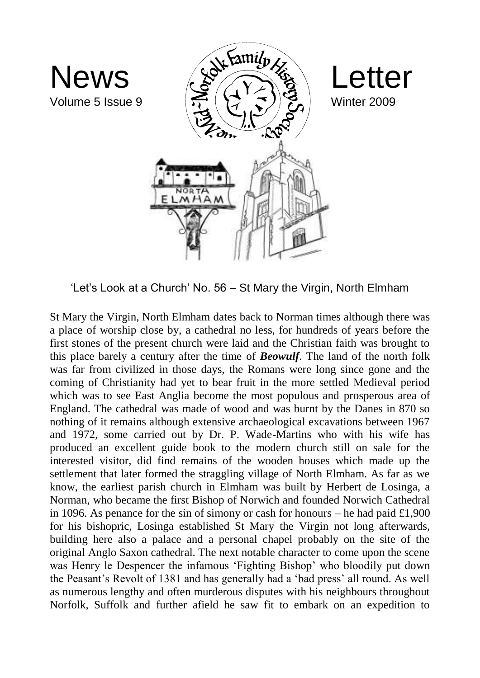

'Let's Look at a Church' No. 56 – St Mary the Virgin, North Elmham

St Mary the Virgin, North Elmham dates back to Norman times although there was a place of worship close by, a cathedral no less, for hundreds of years before the first stones of the present church were laid and the Christian faith was brought to this place barely a century after the time of *Beowulf*. The land of the north folk was far from civilized in those days, the Romans were long since gone and the coming of Christianity had yet to bear fruit in the more settled Medieval period which was to see East Anglia become the most populous and prosperous area of England. The cathedral was made of wood and was burnt by the Danes in 870 so nothing of it remains although extensive archaeological excavations between 1967 and 1972, some carried out by Dr. P. Wade-Martins who with his wife has produced an excellent guide book to the modern church still on sale for the interested visitor, did find remains of the wooden houses which made up the settlement that later formed the straggling village of North Elmham. As far as we know, the earliest parish church in Elmham was built by Herbert de Losinga, a Norman, who became the first Bishop of Norwich and founded Norwich Cathedral in 1096. As penance for the sin of simony or cash for honours – he had paid  $\pounds1,900$ for his bishopric, Losinga established St Mary the Virgin not long afterwards, building here also a palace and a personal chapel probably on the site of the original Anglo Saxon cathedral. The next notable character to come upon the scene was Henry le Despencer the infamous 'Fighting Bishop' who bloodily put down the Peasant's Revolt of 1381 and has generally had a 'bad press' all round. As well as numerous lengthy and often murderous disputes with his neighbours throughout Norfolk, Suffolk and further afield he saw fit to embark on an expedition to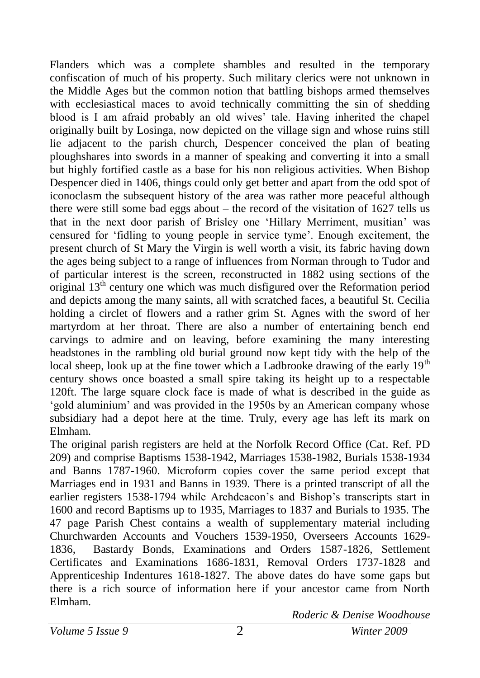Flanders which was a complete shambles and resulted in the temporary confiscation of much of his property. Such military clerics were not unknown in the Middle Ages but the common notion that battling bishops armed themselves with ecclesiastical maces to avoid technically committing the sin of shedding blood is I am afraid probably an old wives' tale. Having inherited the chapel originally built by Losinga, now depicted on the village sign and whose ruins still lie adjacent to the parish church, Despencer conceived the plan of beating ploughshares into swords in a manner of speaking and converting it into a small but highly fortified castle as a base for his non religious activities. When Bishop Despencer died in 1406, things could only get better and apart from the odd spot of iconoclasm the subsequent history of the area was rather more peaceful although there were still some bad eggs about – the record of the visitation of 1627 tells us that in the next door parish of Brisley one 'Hillary Merriment, musitian' was censured for 'fidling to young people in service tyme'. Enough excitement, the present church of St Mary the Virgin is well worth a visit, its fabric having down the ages being subject to a range of influences from Norman through to Tudor and of particular interest is the screen, reconstructed in 1882 using sections of the original  $13<sup>th</sup>$  century one which was much disfigured over the Reformation period and depicts among the many saints, all with scratched faces, a beautiful St. Cecilia holding a circlet of flowers and a rather grim St. Agnes with the sword of her martyrdom at her throat. There are also a number of entertaining bench end carvings to admire and on leaving, before examining the many interesting headstones in the rambling old burial ground now kept tidy with the help of the local sheep, look up at the fine tower which a Ladbrooke drawing of the early  $19<sup>th</sup>$ century shows once boasted a small spire taking its height up to a respectable 120ft. The large square clock face is made of what is described in the guide as 'gold aluminium' and was provided in the 1950s by an American company whose subsidiary had a depot here at the time. Truly, every age has left its mark on Elmham.

The original parish registers are held at the Norfolk Record Office (Cat. Ref. PD 209) and comprise Baptisms 1538-1942, Marriages 1538-1982, Burials 1538-1934 and Banns 1787-1960. Microform copies cover the same period except that Marriages end in 1931 and Banns in 1939. There is a printed transcript of all the earlier registers 1538-1794 while Archdeacon's and Bishop's transcripts start in 1600 and record Baptisms up to 1935, Marriages to 1837 and Burials to 1935. The 47 page Parish Chest contains a wealth of supplementary material including Churchwarden Accounts and Vouchers 1539-1950, Overseers Accounts 1629- 1836, Bastardy Bonds, Examinations and Orders 1587-1826, Settlement Certificates and Examinations 1686-1831, Removal Orders 1737-1828 and Apprenticeship Indentures 1618-1827. The above dates do have some gaps but there is a rich source of information here if your ancestor came from North Elmham.

*Roderic & Denise Woodhouse*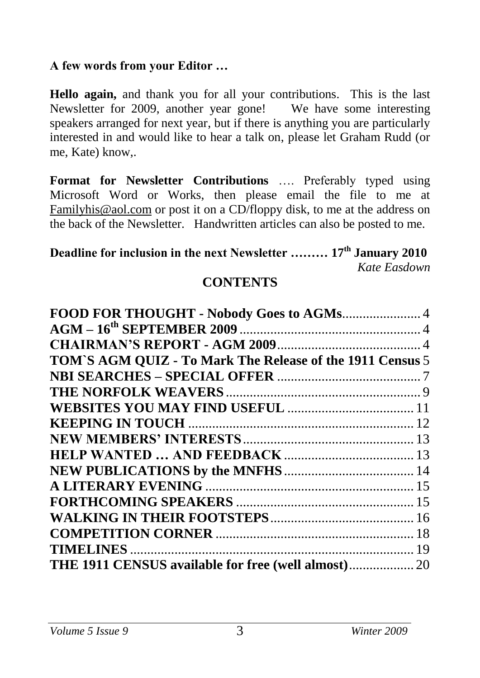#### **A few words from your Editor …**

**Hello again,** and thank you for all your contributions. This is the last Newsletter for 2009, another year gone! We have some interesting speakers arranged for next year, but if there is anything you are particularly interested in and would like to hear a talk on, please let Graham Rudd (or me, Kate) know,.

**Format for Newsletter Contributions** …. Preferably typed using Microsoft Word or Works, then please email the file to me at [Familyhis@aol.com](mailto:Familyhis@aol.com) or post it on a CD/floppy disk, to me at the address on the back of the Newsletter. Handwritten articles can also be posted to me.

#### **Deadline for inclusion in the next Newsletter ……… 17th January 2010** *Kate Easdown*

#### **CONTENTS**

| FOOD FOR THOUGHT - Nobody Goes to AGMs 4                  |  |
|-----------------------------------------------------------|--|
|                                                           |  |
|                                                           |  |
| TOM'S AGM QUIZ - To Mark The Release of the 1911 Census 5 |  |
|                                                           |  |
|                                                           |  |
|                                                           |  |
|                                                           |  |
|                                                           |  |
|                                                           |  |
|                                                           |  |
|                                                           |  |
|                                                           |  |
|                                                           |  |
|                                                           |  |
|                                                           |  |
|                                                           |  |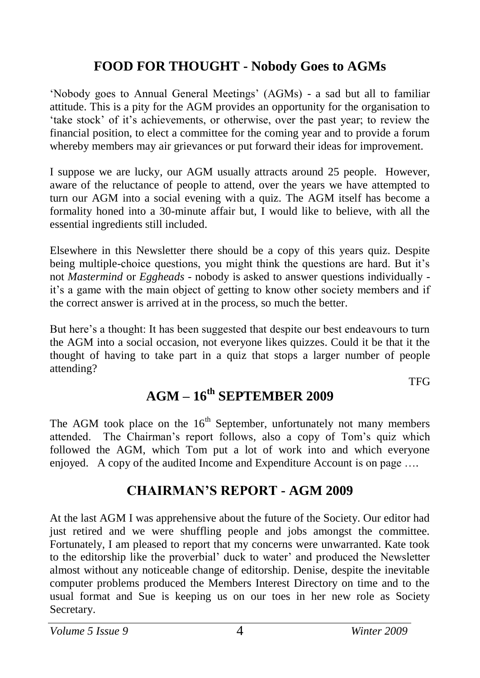#### **FOOD FOR THOUGHT - Nobody Goes to AGMs**

'Nobody goes to Annual General Meetings' (AGMs) - a sad but all to familiar attitude. This is a pity for the AGM provides an opportunity for the organisation to 'take stock' of it's achievements, or otherwise, over the past year; to review the financial position, to elect a committee for the coming year and to provide a forum whereby members may air grievances or put forward their ideas for improvement.

I suppose we are lucky, our AGM usually attracts around 25 people. However, aware of the reluctance of people to attend, over the years we have attempted to turn our AGM into a social evening with a quiz. The AGM itself has become a formality honed into a 30-minute affair but, I would like to believe, with all the essential ingredients still included.

Elsewhere in this Newsletter there should be a copy of this years quiz. Despite being multiple-choice questions, you might think the questions are hard. But it's not *Mastermind* or *Eggheads* - nobody is asked to answer questions individually it's a game with the main object of getting to know other society members and if the correct answer is arrived at in the process, so much the better.

But here's a thought: It has been suggested that despite our best endeavours to turn the AGM into a social occasion, not everyone likes quizzes. Could it be that it the thought of having to take part in a quiz that stops a larger number of people attending?

**TFG** 

### **AGM – 16th SEPTEMBER 2009**

The AGM took place on the  $16<sup>th</sup>$  September, unfortunately not many members attended. The Chairman's report follows, also a copy of Tom's quiz which followed the AGM, which Tom put a lot of work into and which everyone enjoyed. A copy of the audited Income and Expenditure Account is on page ...

#### **CHAIRMAN'S REPORT - AGM 2009**

At the last AGM I was apprehensive about the future of the Society. Our editor had just retired and we were shuffling people and jobs amongst the committee. Fortunately, I am pleased to report that my concerns were unwarranted. Kate took to the editorship like the proverbial' duck to water' and produced the Newsletter almost without any noticeable change of editorship. Denise, despite the inevitable computer problems produced the Members Interest Directory on time and to the usual format and Sue is keeping us on our toes in her new role as Society Secretary.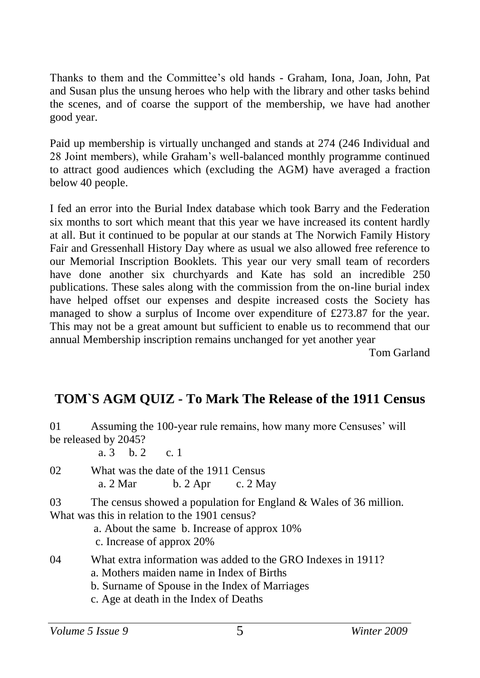Thanks to them and the Committee's old hands - Graham, Iona, Joan, John, Pat and Susan plus the unsung heroes who help with the library and other tasks behind the scenes, and of coarse the support of the membership, we have had another good year.

Paid up membership is virtually unchanged and stands at 274 (246 Individual and 28 Joint members), while Graham's well-balanced monthly programme continued to attract good audiences which (excluding the AGM) have averaged a fraction below 40 people.

I fed an error into the Burial Index database which took Barry and the Federation six months to sort which meant that this year we have increased its content hardly at all. But it continued to be popular at our stands at The Norwich Family History Fair and Gressenhall History Day where as usual we also allowed free reference to our Memorial Inscription Booklets. This year our very small team of recorders have done another six churchyards and Kate has sold an incredible 250 publications. These sales along with the commission from the on-line burial index have helped offset our expenses and despite increased costs the Society has managed to show a surplus of Income over expenditure of £273.87 for the year. This may not be a great amount but sufficient to enable us to recommend that our annual Membership inscription remains unchanged for yet another year

Tom Garland

#### **TOM`S AGM QUIZ - To Mark The Release of the 1911 Census**

01 Assuming the 100-year rule remains, how many more Censuses' will be released by 2045?

a. 3 b. 2 c. 1

02 What was the date of the 1911 Census a. 2 Mar b. 2 Apr c. 2 May

03 The census showed a population for England & Wales of 36 million. What was this in relation to the 1901 census?

a. About the same b. Increase of approx 10% c. Increase of approx 20%

04 What extra information was added to the GRO Indexes in 1911?

a. Mothers maiden name in Index of Births

b. Surname of Spouse in the Index of Marriages

c. Age at death in the Index of Deaths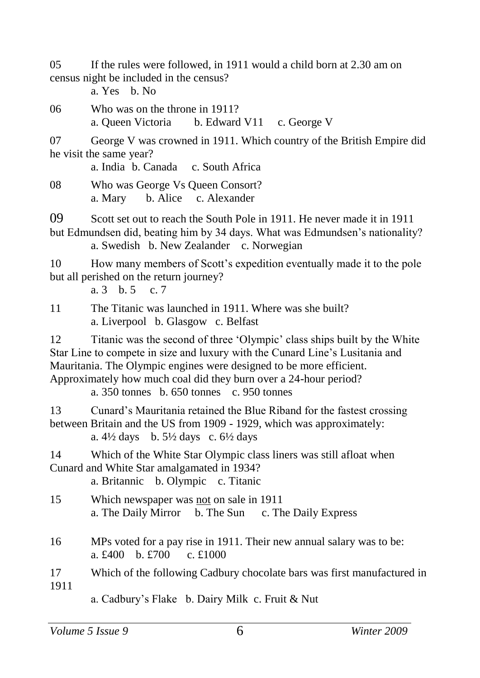05 If the rules were followed, in 1911 would a child born at 2.30 am on census night be included in the census?

a. Yes b. No

06 Who was on the throne in 1911? a. Queen Victoria b. Edward V11 c. George V

07 George V was crowned in 1911. Which country of the British Empire did he visit the same year?

a. India b. Canada c. South Africa

08 Who was George Vs Queen Consort? a. Mary b. Alice c. Alexander

09 Scott set out to reach the South Pole in 1911. He never made it in 1911 but Edmundsen did, beating him by 34 days. What was Edmundsen's nationality?

a. Swedish b. New Zealander c. Norwegian

10 How many members of Scott's expedition eventually made it to the pole but all perished on the return journey?

a. 3 b. 5 c. 7

11 The Titanic was launched in 1911. Where was she built? a. Liverpool b. Glasgow c. Belfast

12 Titanic was the second of three 'Olympic' class ships built by the White Star Line to compete in size and luxury with the Cunard Line's Lusitania and Mauritania. The Olympic engines were designed to be more efficient. Approximately how much coal did they burn over a 24-hour period?

a. 350 tonnes b. 650 tonnes c. 950 tonnes

13 Cunard's Mauritania retained the Blue Riband for the fastest crossing between Britain and the US from 1909 - 1929, which was approximately:

a.  $4\frac{1}{2}$  days b.  $5\frac{1}{2}$  days c.  $6\frac{1}{2}$  days

14 Which of the White Star Olympic class liners was still afloat when Cunard and White Star amalgamated in 1934?

a. Britannic b. Olympic c. Titanic

- 15 Which newspaper was not on sale in 1911 a. The Daily Mirror b. The Sun c. The Daily Express
- 16 MPs voted for a pay rise in 1911. Their new annual salary was to be: a. £400 b. £700 c. £1000

17 Which of the following Cadbury chocolate bars was first manufactured in 1911

a. Cadbury's Flake b. Dairy Milk c. Fruit & Nut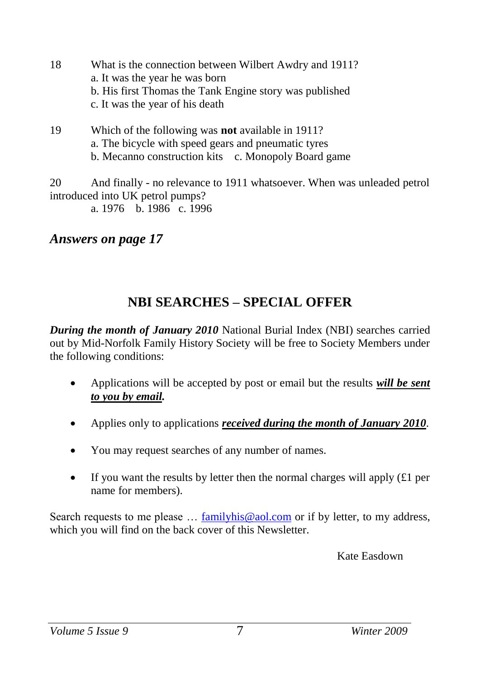- 18 What is the connection between Wilbert Awdry and 1911? a. It was the year he was born b. His first Thomas the Tank Engine story was published c. It was the year of his death
- 19 Which of the following was **not** available in 1911? a. The bicycle with speed gears and pneumatic tyres b. Mecanno construction kits c. Monopoly Board game

20 And finally - no relevance to 1911 whatsoever. When was unleaded petrol introduced into UK petrol pumps?

a. 1976 b. 1986 c. 1996

#### *Answers on page 17*

#### **NBI SEARCHES – SPECIAL OFFER**

*During the month of January 2010* National Burial Index (NBI) searches carried out by Mid-Norfolk Family History Society will be free to Society Members under the following conditions:

- Applications will be accepted by post or email but the results *will be sent to you by email.*
- Applies only to applications *received during the month of January 2010*.
- You may request searches of any number of names.
- If you want the results by letter then the normal charges will apply  $(f1$  per name for members).

Search requests to me please … [familyhis@aol.com](mailto:familyhis@aol.com) or if by letter, to my address, which you will find on the back cover of this Newsletter.

Kate Easdown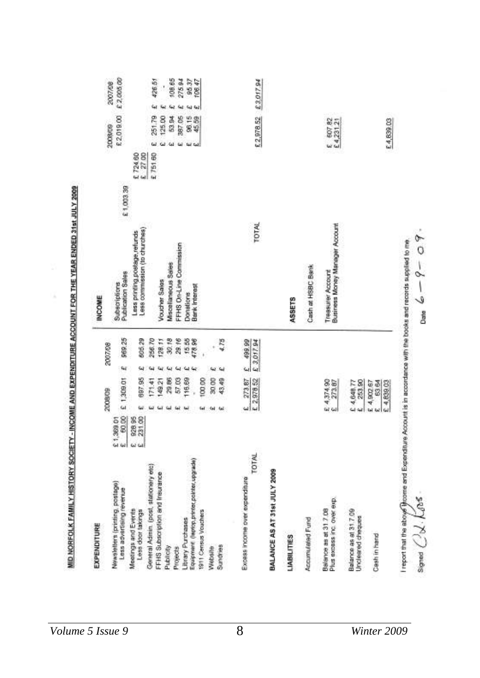| EXPENDITURE                                                                                                        |                           |            |                                  |                       |                 |                                                                |           |                      |                           |    |            |
|--------------------------------------------------------------------------------------------------------------------|---------------------------|------------|----------------------------------|-----------------------|-----------------|----------------------------------------------------------------|-----------|----------------------|---------------------------|----|------------|
|                                                                                                                    |                           | 2009/09    |                                  |                       | 2007/08         | <b>INCOME</b>                                                  |           |                      | 2008009                   |    | 2007/08    |
| <b>Newsletters (printing postage)</b><br>Less advertising reveriue                                                 | 21,389.01                 |            | £ 1,309.01                       | $\mathbf{Q}_\ell$     | 969.25          | Publication Sales<br>Subscriptions                             | £1,003.39 |                      | £2019.00                  |    | £ 2,005.00 |
| Moetings and Events<br>Less door takings                                                                           | 928 95<br>231 00<br>G2 G3 | ùΰ         | 697.95                           | 54                    | 805,29          | Less commission (to churches)<br>Less printing postage refunds |           | $E$ 27 00<br>£724.60 |                           |    |            |
| General Admin. (post, stationery etc)                                                                              |                           | üä         | 71.41                            | щ                     | 256.70          |                                                                |           | £75160               | 251.79                    | tų | 426.51     |
| FFHS Subscription and Insurance                                                                                    |                           | GГ         | 149.21                           | $\mathbf{u}$          | 128.11          | Voucher Sales                                                  |           |                      | 125.00                    |    | Ì          |
| Publicity                                                                                                          |                           | ш          | 29.86                            | $\omega$              | 30.18           | Miscellaneous Seles                                            |           |                      | 53.B4                     |    | 108.65     |
| Projects                                                                                                           |                           | 懈          | 57.03                            | $\tilde{\phantom{a}}$ | 29.16           | FFHS On-Line Commission                                        |           |                      | 387.05                    |    | 275.94     |
| Library Purchases                                                                                                  |                           | tai        | 116.69                           | $\mathbf{u}$          |                 | Donations                                                      |           |                      |                           |    |            |
| Equipment (leptop,printer,pointer,upgrade)                                                                         |                           |            |                                  |                       | 15.55<br>478.96 | <b>Bank Interest</b>                                           |           |                      | 98.15<br>45.59<br>tal Cal |    | 95.37      |
| 1911 Census Vouchers                                                                                               |                           | <b>Gal</b> | 100.00                           |                       |                 |                                                                |           |                      |                           |    |            |
| Website                                                                                                            |                           | Ğ4         | 30 00                            |                       |                 |                                                                |           |                      |                           |    |            |
| Sundries                                                                                                           |                           |            | 43.49                            | ۱u                    | 4.78            |                                                                |           |                      |                           |    |            |
| TOTAL<br>Excess income over expenditure                                                                            |                           |            | $rac{273.87}{5.2,978.52}$        | $\ddot{\bm{\omega}}$  | 499.99          |                                                                |           |                      |                           |    |            |
|                                                                                                                    |                           |            |                                  |                       | £ 3,017.94      | TOTAL                                                          |           |                      | £2,978.52                 |    | £3,017.94  |
| BALANCE AS AT 31st JULY 2009                                                                                       |                           |            |                                  |                       |                 |                                                                |           |                      |                           |    |            |
| <b>LIABILITIES</b>                                                                                                 |                           |            |                                  |                       |                 | <b>ASSETS</b>                                                  |           |                      |                           |    |            |
| Accumulated Fund                                                                                                   |                           |            |                                  |                       |                 | Cash at HSBC Bank                                              |           |                      |                           |    |            |
| Plus excess inc. over exp.<br>Balance as at 317.08                                                                 |                           |            | E 4,374.90<br>E 273.87           |                       |                 | Business Money Manager Account<br><b>Treasurer Account</b>     |           |                      | E 607.82<br>E4,231.21     |    |            |
| Balance as at 31.7.09<br>Uncleared cheques                                                                         |                           |            | 253.90<br>£ 4,648.77<br>£ 253.90 |                       |                 |                                                                |           |                      |                           |    |            |
| Cash in hand                                                                                                       |                           | w          | £ 4,902.67<br>6364<br>£ 4,839.03 |                       |                 |                                                                |           |                      | E4,839.03                 |    |            |
| I report that the about froome and Expenditure Account is in accordance with the books and records supplied to me. |                           |            |                                  |                       |                 |                                                                |           |                      |                           |    |            |
| Signal $C\lambda$ . $L$ 088                                                                                        |                           |            |                                  |                       |                 | ᡐ<br>$\circ$<br>$Dum$ $\omega - 9 -$                           |           |                      |                           |    |            |

MID NORFOLK FAMILY HISTORY SOCIETY - INCOME AND EXPENDITURE ACCOUNT FOR THE YEAR ENDED 31st JULY 2009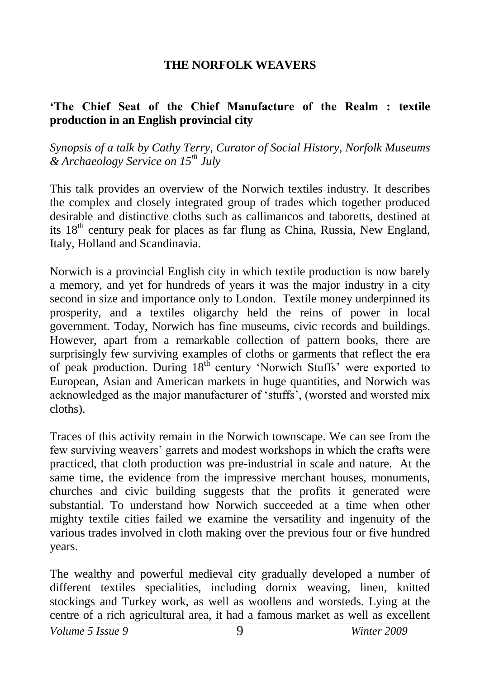#### **THE NORFOLK WEAVERS**

#### **'The Chief Seat of the Chief Manufacture of the Realm : textile production in an English provincial city**

*Synopsis of a talk by Cathy Terry, Curator of Social History, Norfolk Museums & Archaeology Service on 15th July*

This talk provides an overview of the Norwich textiles industry. It describes the complex and closely integrated group of trades which together produced desirable and distinctive cloths such as callimancos and taboretts, destined at its  $18<sup>th</sup>$  century peak for places as far flung as China, Russia, New England, Italy, Holland and Scandinavia.

Norwich is a provincial English city in which textile production is now barely a memory, and yet for hundreds of years it was the major industry in a city second in size and importance only to London. Textile money underpinned its prosperity, and a textiles oligarchy held the reins of power in local government. Today, Norwich has fine museums, civic records and buildings. However, apart from a remarkable collection of pattern books, there are surprisingly few surviving examples of cloths or garments that reflect the era of peak production. During 18<sup>th</sup> century 'Norwich Stuffs' were exported to European, Asian and American markets in huge quantities, and Norwich was acknowledged as the major manufacturer of 'stuffs', (worsted and worsted mix cloths).

Traces of this activity remain in the Norwich townscape. We can see from the few surviving weavers' garrets and modest workshops in which the crafts were practiced, that cloth production was pre-industrial in scale and nature. At the same time, the evidence from the impressive merchant houses, monuments, churches and civic building suggests that the profits it generated were substantial. To understand how Norwich succeeded at a time when other mighty textile cities failed we examine the versatility and ingenuity of the various trades involved in cloth making over the previous four or five hundred years.

The wealthy and powerful medieval city gradually developed a number of different textiles specialities, including dornix weaving, linen, knitted stockings and Turkey work, as well as woollens and worsteds. Lying at the centre of a rich agricultural area, it had a famous market as well as excellent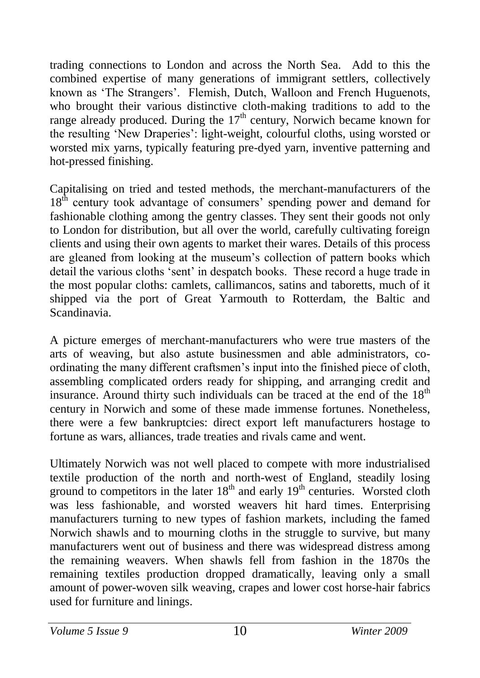trading connections to London and across the North Sea. Add to this the combined expertise of many generations of immigrant settlers, collectively known as 'The Strangers'. Flemish, Dutch, Walloon and French Huguenots, who brought their various distinctive cloth-making traditions to add to the range already produced. During the  $17<sup>th</sup>$  century, Norwich became known for the resulting 'New Draperies': light-weight, colourful cloths, using worsted or worsted mix yarns, typically featuring pre-dyed yarn, inventive patterning and hot-pressed finishing.

Capitalising on tried and tested methods, the merchant-manufacturers of the  $18<sup>th</sup>$  century took advantage of consumers' spending power and demand for fashionable clothing among the gentry classes. They sent their goods not only to London for distribution, but all over the world, carefully cultivating foreign clients and using their own agents to market their wares. Details of this process are gleaned from looking at the museum's collection of pattern books which detail the various cloths 'sent' in despatch books. These record a huge trade in the most popular cloths: camlets, callimancos, satins and taboretts, much of it shipped via the port of Great Yarmouth to Rotterdam, the Baltic and Scandinavia.

A picture emerges of merchant-manufacturers who were true masters of the arts of weaving, but also astute businessmen and able administrators, coordinating the many different craftsmen's input into the finished piece of cloth, assembling complicated orders ready for shipping, and arranging credit and insurance. Around thirty such individuals can be traced at the end of the  $18<sup>th</sup>$ century in Norwich and some of these made immense fortunes. Nonetheless, there were a few bankruptcies: direct export left manufacturers hostage to fortune as wars, alliances, trade treaties and rivals came and went.

Ultimately Norwich was not well placed to compete with more industrialised textile production of the north and north-west of England, steadily losing ground to competitors in the later  $18<sup>th</sup>$  and early  $19<sup>th</sup>$  centuries. Worsted cloth was less fashionable, and worsted weavers hit hard times. Enterprising manufacturers turning to new types of fashion markets, including the famed Norwich shawls and to mourning cloths in the struggle to survive, but many manufacturers went out of business and there was widespread distress among the remaining weavers. When shawls fell from fashion in the 1870s the remaining textiles production dropped dramatically, leaving only a small amount of power-woven silk weaving, crapes and lower cost horse-hair fabrics used for furniture and linings.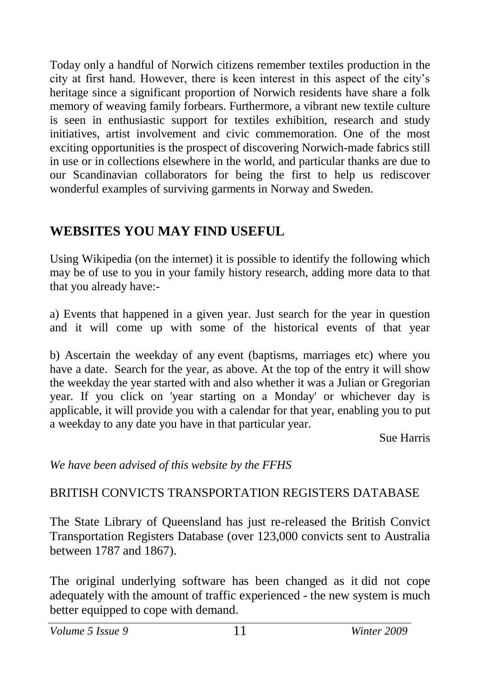Today only a handful of Norwich citizens remember textiles production in the city at first hand. However, there is keen interest in this aspect of the city's heritage since a significant proportion of Norwich residents have share a folk memory of weaving family forbears. Furthermore, a vibrant new textile culture is seen in enthusiastic support for textiles exhibition, research and study initiatives, artist involvement and civic commemoration. One of the most exciting opportunities is the prospect of discovering Norwich-made fabrics still in use or in collections elsewhere in the world, and particular thanks are due to our Scandinavian collaborators for being the first to help us rediscover wonderful examples of surviving garments in Norway and Sweden.

#### **WEBSITES YOU MAY FIND USEFUL**

Using Wikipedia (on the internet) it is possible to identify the following which may be of use to you in your family history research, adding more data to that that you already have:-

a) Events that happened in a given year. Just search for the year in question and it will come up with some of the historical events of that year

b) Ascertain the weekday of any event (baptisms, marriages etc) where you have a date. Search for the year, as above. At the top of the entry it will show the weekday the year started with and also whether it was a Julian or Gregorian year. If you click on 'year starting on a Monday' or whichever day is applicable, it will provide you with a calendar for that year, enabling you to put a weekday to any date you have in that particular year.

Sue Harris

*We have been advised of this website by the FFHS*

#### BRITISH CONVICTS TRANSPORTATION REGISTERS DATABASE

The State Library of Queensland has just re-released the British Convict Transportation Registers Database (over 123,000 convicts sent to Australia between 1787 and 1867).

The original underlying software has been changed as it did not cope adequately with the amount of traffic experienced - the new system is much better equipped to cope with demand.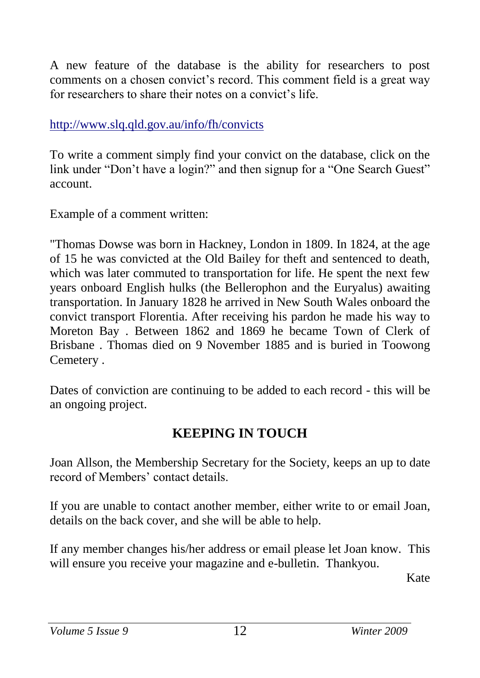A new feature of the database is the ability for researchers to post comments on a chosen convict's record. This comment field is a great way for researchers to share their notes on a convict's life.

<http://www.slq.qld.gov.au/info/fh/convicts>

To write a comment simply find your convict on the database, click on the link under "Don't have a login?" and then signup for a "One Search Guest" account.

Example of a comment written:

"Thomas Dowse was born in Hackney, London in 1809. In 1824, at the age of 15 he was convicted at the Old Bailey for theft and sentenced to death, which was later commuted to transportation for life. He spent the next few years onboard English hulks (the Bellerophon and the Euryalus) awaiting transportation. In January 1828 he arrived in New South Wales onboard the convict transport Florentia. After receiving his pardon he made his way to Moreton Bay . Between 1862 and 1869 he became Town of Clerk of Brisbane . Thomas died on 9 November 1885 and is buried in Toowong Cemetery .

Dates of conviction are continuing to be added to each record - this will be an ongoing project.

### **KEEPING IN TOUCH**

Joan Allson, the Membership Secretary for the Society, keeps an up to date record of Members' contact details.

If you are unable to contact another member, either write to or email Joan, details on the back cover, and she will be able to help.

If any member changes his/her address or email please let Joan know. This will ensure you receive your magazine and e-bulletin. Thankyou.

Kate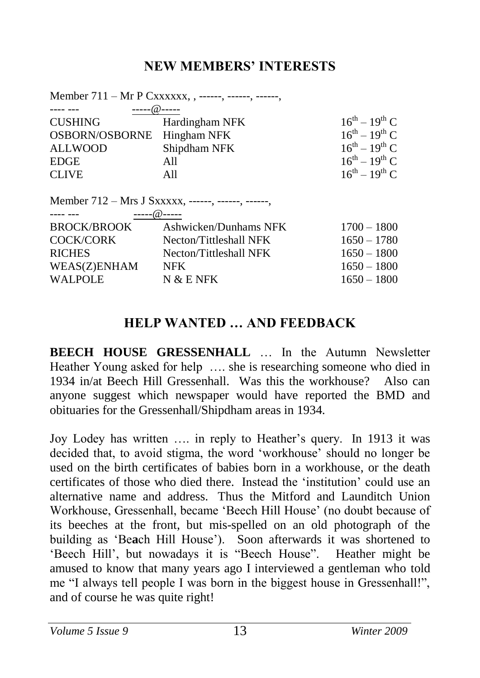#### **NEW MEMBERS' INTERESTS**

|                                  | Member 711 – Mr P Cxxxxxx, , ------, ------, ------, |                       |
|----------------------------------|------------------------------------------------------|-----------------------|
| $---(a)$ -----                   |                                                      |                       |
| <b>CUSHING</b>                   | Hardingham NFK                                       | $16^{th} - 19^{th}$ C |
| OSBORN/OSBORNE                   | Hingham NFK                                          | $16^{th} - 19^{th}$ C |
| <b>ALLWOOD</b>                   | Shipdham NFK                                         | $16^{th} - 19^{th}$ C |
| <b>EDGE</b>                      | All                                                  | $16^{th} - 19^{th}$ C |
| <b>CLIVE</b>                     | A11                                                  | $16^{th} - 19^{th}$ C |
| $- - - - - - -$<br>------@------ | Member 712 – Mrs J Sxxxxx, ------, ------, ------,   |                       |
| BROCK/BROOK                      | Ashwicken/Dunhams NFK                                | $1700 - 1800$         |
| <b>COCK/CORK</b>                 | Necton/Tittleshall NFK                               | $1650 - 1780$         |
| <b>RICHES</b>                    | Necton/Tittleshall NFK                               | $1650 - 1800$         |
| <b>WEAS(Z)ENHAM</b>              | <b>NFK</b>                                           | $1650 - 1800$         |
| <b>WALPOLE</b>                   | N & E NFK                                            | $1650 - 1800$         |

#### **HELP WANTED … AND FEEDBACK**

**BEECH HOUSE GRESSENHALL** … In the Autumn Newsletter Heather Young asked for help …. she is researching someone who died in 1934 in/at Beech Hill Gressenhall. Was this the workhouse? Also can anyone suggest which newspaper would have reported the BMD and obituaries for the Gressenhall/Shipdham areas in 1934.

Joy Lodey has written …. in reply to Heather's query. In 1913 it was decided that, to avoid stigma, the word 'workhouse' should no longer be used on the birth certificates of babies born in a workhouse, or the death certificates of those who died there. Instead the 'institution' could use an alternative name and address. Thus the Mitford and Launditch Union Workhouse, Gressenhall, became 'Beech Hill House' (no doubt because of its beeches at the front, but mis-spelled on an old photograph of the building as 'Be**a**ch Hill House'). Soon afterwards it was shortened to 'Beech Hill', but nowadays it is "Beech House". Heather might be amused to know that many years ago I interviewed a gentleman who told me "I always tell people I was born in the biggest house in Gressenhall!", and of course he was quite right!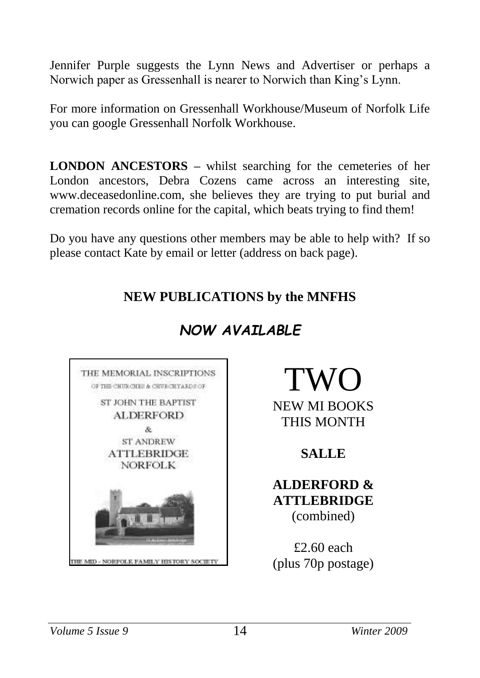Jennifer Purple suggests the Lynn News and Advertiser or perhaps a Norwich paper as Gressenhall is nearer to Norwich than King's Lynn.

For more information on Gressenhall Workhouse/Museum of Norfolk Life you can google Gressenhall Norfolk Workhouse.

**LONDON ANCESTORS –** whilst searching for the cemeteries of her London ancestors, Debra Cozens came across an interesting site, [www.deceasedonline.com,](http://www.deceasedonline.com/) she believes they are trying to put burial and cremation records online for the capital, which beats trying to find them!

Do you have any questions other members may be able to help with? If so please contact Kate by email or letter (address on back page).

#### **NEW PUBLICATIONS by the MNFHS**



# *NOW AVAILABLE*

# TWO

NEW MI BOOKS THIS MONTH

#### **SALLE**

#### **ALDERFORD & ATTLEBRIDGE** (combined)

£2.60 each (plus 70p postage)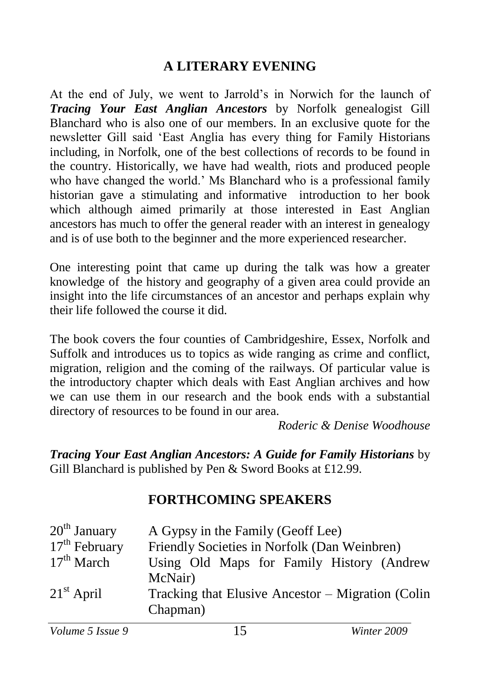#### **A LITERARY EVENING**

At the end of July, we went to Jarrold's in Norwich for the launch of *Tracing Your East Anglian Ancestors* by Norfolk genealogist Gill Blanchard who is also one of our members. In an exclusive quote for the newsletter Gill said 'East Anglia has every thing for Family Historians including, in Norfolk, one of the best collections of records to be found in the country. Historically, we have had wealth, riots and produced people who have changed the world.' Ms Blanchard who is a professional family historian gave a stimulating and informative introduction to her book which although aimed primarily at those interested in East Anglian ancestors has much to offer the general reader with an interest in genealogy and is of use both to the beginner and the more experienced researcher.

One interesting point that came up during the talk was how a greater knowledge of the history and geography of a given area could provide an insight into the life circumstances of an ancestor and perhaps explain why their life followed the course it did.

The book covers the four counties of Cambridgeshire, Essex, Norfolk and Suffolk and introduces us to topics as wide ranging as crime and conflict, migration, religion and the coming of the railways. Of particular value is the introductory chapter which deals with East Anglian archives and how we can use them in our research and the book ends with a substantial directory of resources to be found in our area.

*Roderic & Denise Woodhouse*

*Tracing Your East Anglian Ancestors: A Guide for Family Historians* by Gill Blanchard is published by Pen & Sword Books at £12.99.

#### **FORTHCOMING SPEAKERS**

| $20th$ January  | A Gypsy in the Family (Geoff Lee)                    |
|-----------------|------------------------------------------------------|
| $17th$ February | Friendly Societies in Norfolk (Dan Weinbren)         |
| $17th$ March    | Using Old Maps for Family History (Andrew<br>McNair) |
| $21st$ April    | Tracking that Elusive Ancestor – Migration (Colin    |
|                 | Chapman)                                             |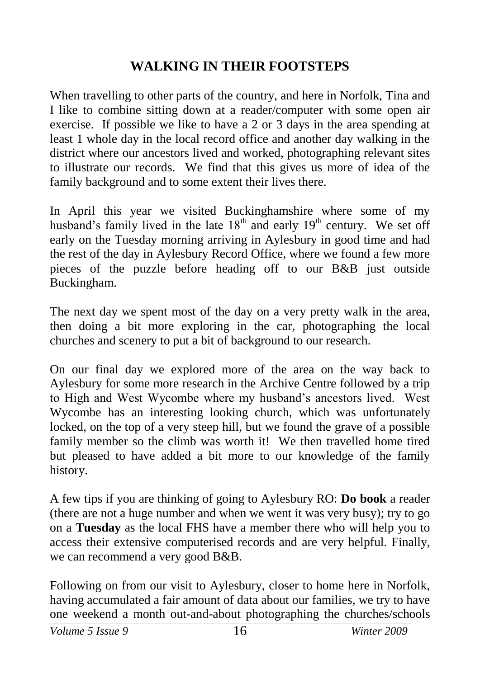#### **WALKING IN THEIR FOOTSTEPS**

When travelling to other parts of the country, and here in Norfolk, Tina and I like to combine sitting down at a reader/computer with some open air exercise. If possible we like to have a 2 or 3 days in the area spending at least 1 whole day in the local record office and another day walking in the district where our ancestors lived and worked, photographing relevant sites to illustrate our records. We find that this gives us more of idea of the family background and to some extent their lives there.

In April this year we visited Buckinghamshire where some of my husband's family lived in the late  $18<sup>th</sup>$  and early  $19<sup>th</sup>$  century. We set off early on the Tuesday morning arriving in Aylesbury in good time and had the rest of the day in Aylesbury Record Office, where we found a few more pieces of the puzzle before heading off to our B&B just outside Buckingham.

The next day we spent most of the day on a very pretty walk in the area, then doing a bit more exploring in the car, photographing the local churches and scenery to put a bit of background to our research.

On our final day we explored more of the area on the way back to Aylesbury for some more research in the Archive Centre followed by a trip to High and West Wycombe where my husband's ancestors lived. West Wycombe has an interesting looking church, which was unfortunately locked, on the top of a very steep hill, but we found the grave of a possible family member so the climb was worth it! We then travelled home tired but pleased to have added a bit more to our knowledge of the family history.

A few tips if you are thinking of going to Aylesbury RO: **Do book** a reader (there are not a huge number and when we went it was very busy); try to go on a **Tuesday** as the local FHS have a member there who will help you to access their extensive computerised records and are very helpful. Finally, we can recommend a very good B&B.

Following on from our visit to Aylesbury, closer to home here in Norfolk, having accumulated a fair amount of data about our families, we try to have one weekend a month out-and-about photographing the churches/schools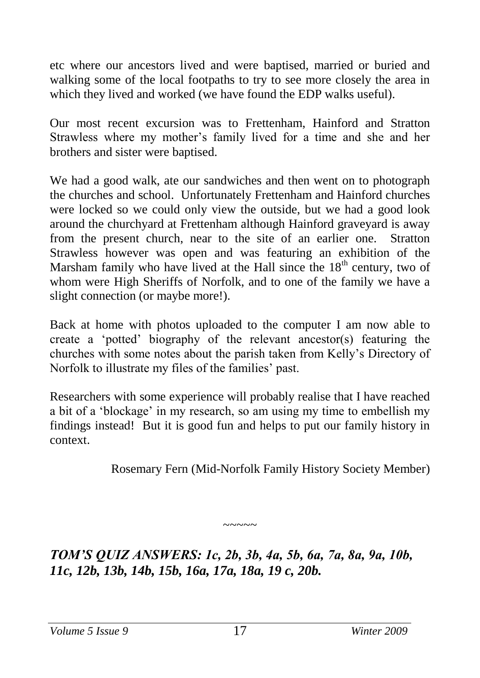etc where our ancestors lived and were baptised, married or buried and walking some of the local footpaths to try to see more closely the area in which they lived and worked (we have found the EDP walks useful).

Our most recent excursion was to Frettenham, Hainford and Stratton Strawless where my mother's family lived for a time and she and her brothers and sister were baptised.

We had a good walk, ate our sandwiches and then went on to photograph the churches and school. Unfortunately Frettenham and Hainford churches were locked so we could only view the outside, but we had a good look around the churchyard at Frettenham although Hainford graveyard is away from the present church, near to the site of an earlier one. Stratton Strawless however was open and was featuring an exhibition of the Marsham family who have lived at the Hall since the  $18<sup>th</sup>$  century, two of whom were High Sheriffs of Norfolk, and to one of the family we have a slight connection (or maybe more!).

Back at home with photos uploaded to the computer I am now able to create a 'potted' biography of the relevant ancestor(s) featuring the churches with some notes about the parish taken from Kelly's Directory of Norfolk to illustrate my files of the families' past.

Researchers with some experience will probably realise that I have reached a bit of a 'blockage' in my research, so am using my time to embellish my findings instead! But it is good fun and helps to put our family history in context.

Rosemary Fern (Mid-Norfolk Family History Society Member)

*TOM'S QUIZ ANSWERS: 1c, 2b, 3b, 4a, 5b, 6a, 7a, 8a, 9a, 10b, 11c, 12b, 13b, 14b, 15b, 16a, 17a, 18a, 19 c, 20b.* 

 $\sim\sim\sim\sim\sim$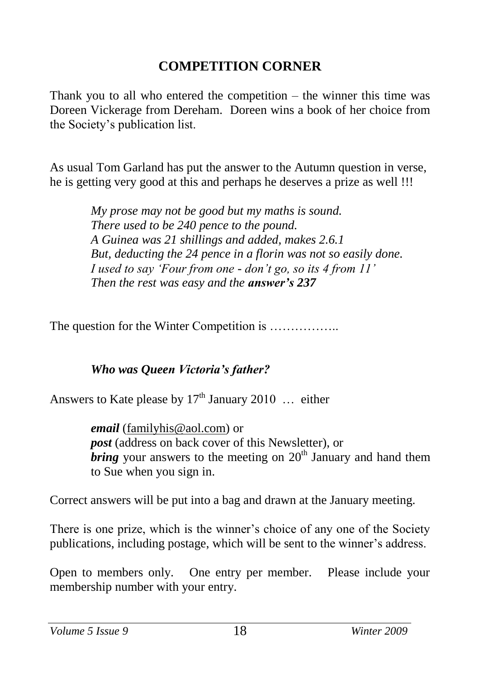#### **COMPETITION CORNER**

Thank you to all who entered the competition – the winner this time was Doreen Vickerage from Dereham. Doreen wins a book of her choice from the Society's publication list.

As usual Tom Garland has put the answer to the Autumn question in verse, he is getting very good at this and perhaps he deserves a prize as well !!!

> *My prose may not be good but my maths is sound. There used to be 240 pence to the pound. A Guinea was 21 shillings and added, makes 2.6.1 But, deducting the 24 pence in a florin was not so easily done. I used to say 'Four from one - don't go, so its 4 from 11' Then the rest was easy and the answer's 237*

The question for the Winter Competition is .................

#### *Who was Queen Victoria's father?*

Answers to Kate please by  $17<sup>th</sup>$  January 2010 ... either

*email* [\(familyhis@aol.com\)](mailto:familyhis@aol.com) or *post* (address on back cover of this Newsletter), or *bring* your answers to the meeting on  $20<sup>th</sup>$  January and hand them to Sue when you sign in.

Correct answers will be put into a bag and drawn at the January meeting.

There is one prize, which is the winner's choice of any one of the Society publications, including postage, which will be sent to the winner's address.

Open to members only. One entry per member. Please include your membership number with your entry.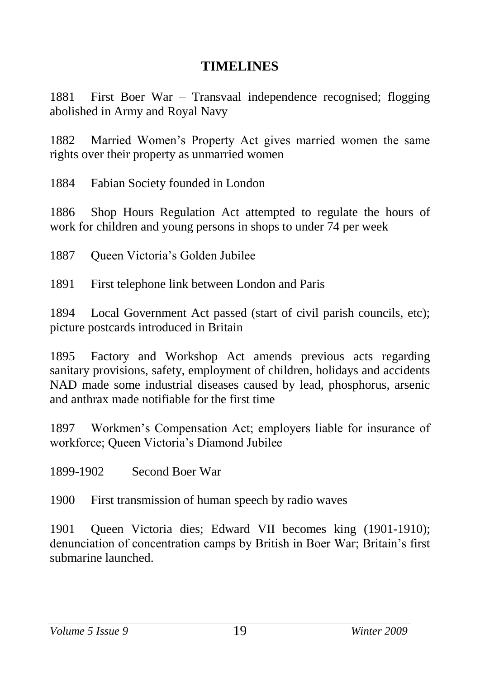#### **TIMELINES**

1881 First Boer War – Transvaal independence recognised; flogging abolished in Army and Royal Navy

1882 Married Women's Property Act gives married women the same rights over their property as unmarried women

1884 Fabian Society founded in London

1886 Shop Hours Regulation Act attempted to regulate the hours of work for children and young persons in shops to under 74 per week

1887 Queen Victoria's Golden Jubilee

1891 First telephone link between London and Paris

1894 Local Government Act passed (start of civil parish councils, etc); picture postcards introduced in Britain

1895 Factory and Workshop Act amends previous acts regarding sanitary provisions, safety, employment of children, holidays and accidents NAD made some industrial diseases caused by lead, phosphorus, arsenic and anthrax made notifiable for the first time

1897 Workmen's Compensation Act; employers liable for insurance of workforce; Queen Victoria's Diamond Jubilee

1899-1902 Second Boer War

1900 First transmission of human speech by radio waves

1901 Queen Victoria dies; Edward VII becomes king (1901-1910); denunciation of concentration camps by British in Boer War; Britain's first submarine launched.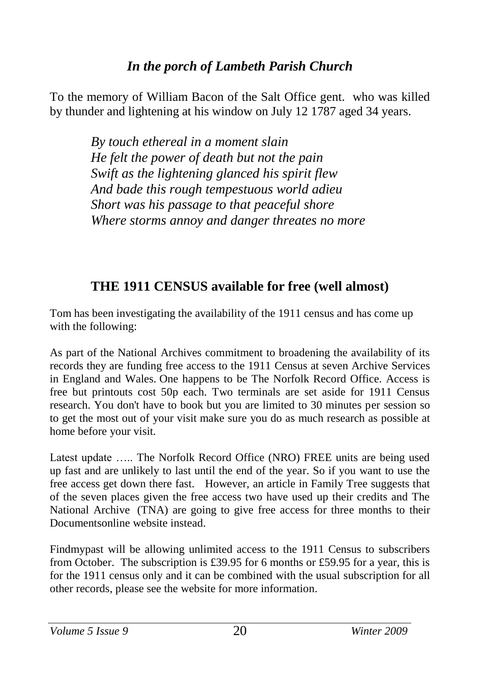#### *In the porch of Lambeth Parish Church*

To the memory of William Bacon of the Salt Office gent. who was killed by thunder and lightening at his window on July 12 1787 aged 34 years.

> *By touch ethereal in a moment slain He felt the power of death but not the pain Swift as the lightening glanced his spirit flew And bade this rough tempestuous world adieu Short was his passage to that peaceful shore Where storms annoy and danger threates no more*

#### **THE 1911 CENSUS available for free (well almost)**

Tom has been investigating the availability of the 1911 census and has come up with the following:

As part of the National Archives commitment to broadening the availability of its records they are funding free access to the 1911 Census at seven Archive Services in England and Wales. One happens to be The Norfolk Record Office. Access is free but printouts cost 50p each. Two terminals are set aside for 1911 Census research. You don't have to book but you are limited to 30 minutes per session so to get the most out of your visit make sure you do as much research as possible at home before your visit.

Latest update ….. The Norfolk Record Office (NRO) FREE units are being used up fast and are unlikely to last until the end of the year. So if you want to use the free access get down there fast. However, an article in Family Tree suggests that of the seven places given the free access two have used up their credits and The National Archive (TNA) are going to give free access for three months to their Documentsonline website instead.

Findmypast will be allowing unlimited access to the 1911 Census to subscribers from October. The subscription is £39.95 for 6 months or £59.95 for a year, this is for the 1911 census only and it can be combined with the usual subscription for all other records, please see the website for more information.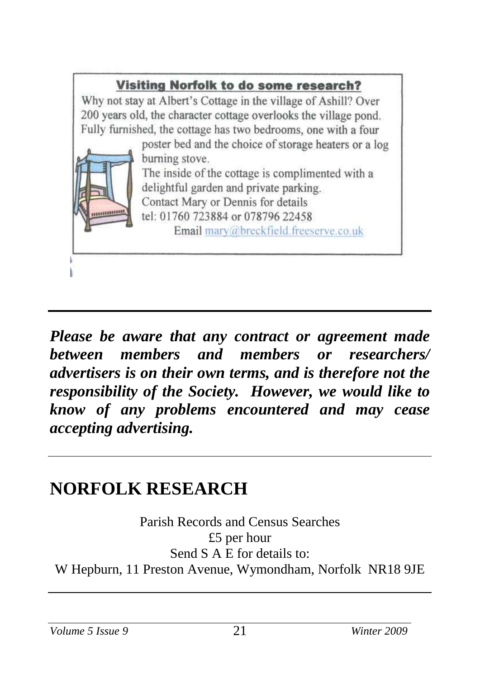

*Please be aware that any contract or agreement made between members and members or researchers/ advertisers is on their own terms, and is therefore not the responsibility of the Society. However, we would like to know of any problems encountered and may cease accepting advertising.*

# **NORFOLK RESEARCH**

Parish Records and Census Searches £5 per hour Send S A E for details to: W Hepburn, 11 Preston Avenue, Wymondham, Norfolk NR18 9JE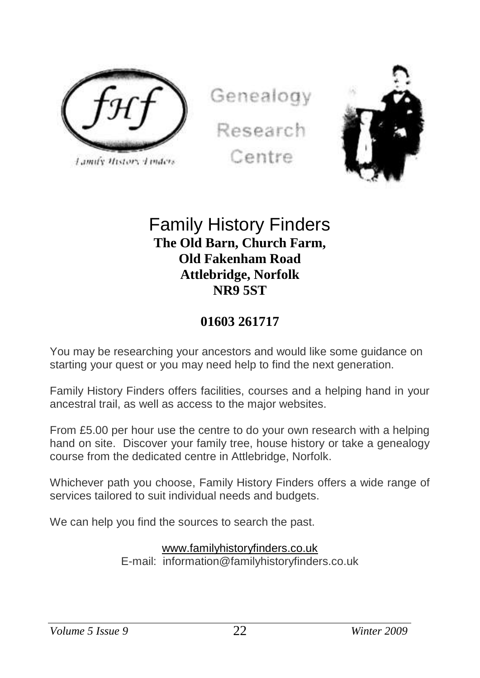

Lamify History Linders

Genealogy Research





#### Family History Finders **The Old Barn, Church Farm, Old Fakenham Road Attlebridge, Norfolk NR9 5ST**

#### **01603 261717**

You may be researching your ancestors and would like some guidance on starting your quest or you may need help to find the next generation.

Family History Finders offers facilities, courses and a helping hand in your ancestral trail, as well as access to the major websites.

From £5.00 per hour use the centre to do your own research with a helping hand on site. Discover your family tree, house history or take a genealogy course from the dedicated centre in Attlebridge, Norfolk.

Whichever path you choose, Family History Finders offers a wide range of services tailored to suit individual needs and budgets.

We can help you find the sources to search the past.

#### [www.familyhistoryfinders.co.uk](http://www.familyhistoryfinders.co.uk/)

E-mail: information@familyhistoryfinders.co.uk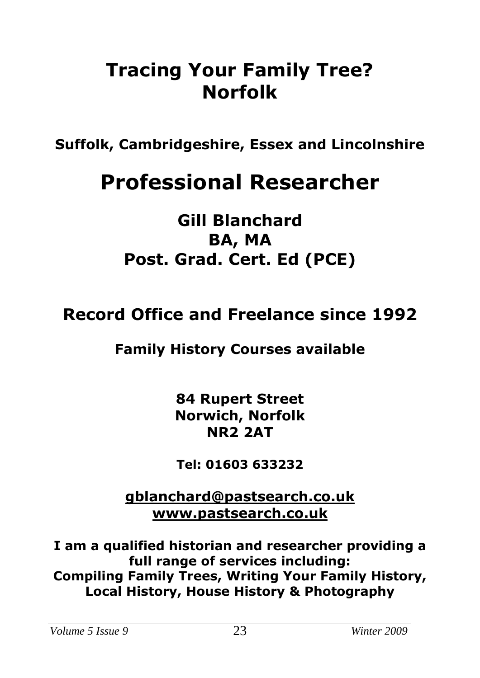# **Tracing Your Family Tree? Norfolk**

**Suffolk, Cambridgeshire, Essex and Lincolnshire**

# **Professional Researcher**

# **Gill Blanchard BA, MA Post. Grad. Cert. Ed (PCE)**

# **Record Office and Freelance since 1992**

## **Family History Courses available**

**84 Rupert Street Norwich, Norfolk NR2 2AT**

**Tel: 01603 633232**

**[gblanchard@pastsearch.co.uk](mailto:gblanchard@pastsearch.co.uk) [www.pastsearch.co.uk](http://www.pastsearch.co.uk/)**

**I am a qualified historian and researcher providing a full range of services including: Compiling Family Trees, Writing Your Family History, Local History, House History & Photography**